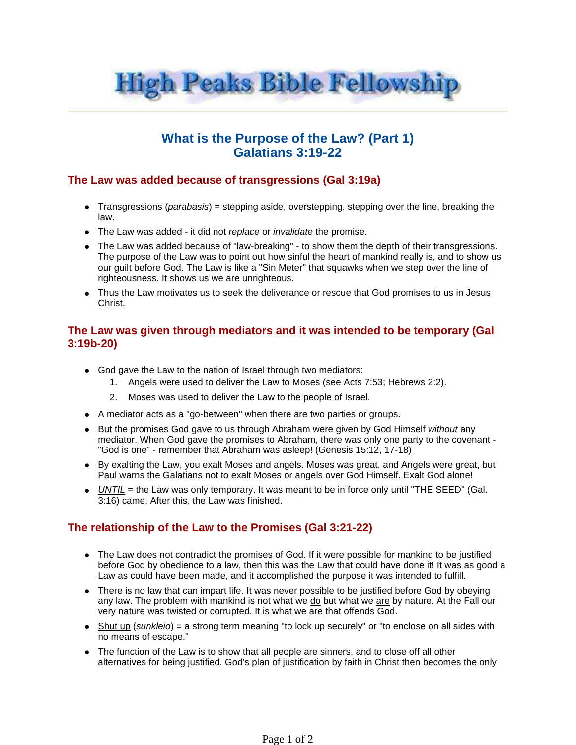

## **What is the Purpose of the Law? (Part 1) Galatians 3:19-22**

## **The Law was added because of transgressions (Gal 3:19a)**

- Transgressions (parabasis) = stepping aside, overstepping, stepping over the line, breaking the law.
- The Law was added it did not replace or invalidate the promise.
- The Law was added because of "law-breaking" to show them the depth of their transgressions. The purpose of the Law was to point out how sinful the heart of mankind really is, and to show us our guilt before God. The Law is like a "Sin Meter" that squawks when we step over the line of righteousness. It shows us we are unrighteous.
- Thus the Law motivates us to seek the deliverance or rescue that God promises to us in Jesus Christ.

## **The Law was given through mediators and it was intended to be temporary (Gal 3:19b-20)**

- God gave the Law to the nation of Israel through two mediators:
	- 1. Angels were used to deliver the Law to Moses (see Acts 7:53; Hebrews 2:2).
	- 2. Moses was used to deliver the Law to the people of Israel.
- A mediator acts as a "go-between" when there are two parties or groups.
- But the promises God gave to us through Abraham were given by God Himself without any mediator. When God gave the promises to Abraham, there was only one party to the covenant - "God is one" - remember that Abraham was asleep! (Genesis 15:12, 17-18)
- By exalting the Law, you exalt Moses and angels. Moses was great, and Angels were great, but Paul warns the Galatians not to exalt Moses or angels over God Himself. Exalt God alone!
- $\bullet$  UNTIL = the Law was only temporary. It was meant to be in force only until "THE SEED" (Gal. 3:16) came. After this, the Law was finished.

## **The relationship of the Law to the Promises (Gal 3:21-22)**

- The Law does not contradict the promises of God. If it were possible for mankind to be justified before God by obedience to a law, then this was the Law that could have done it! It was as good a Law as could have been made, and it accomplished the purpose it was intended to fulfill.
- There is no law that can impart life. It was never possible to be justified before God by obeying any law. The problem with mankind is not what we do but what we are by nature. At the Fall our very nature was twisted or corrupted. It is what we are that offends God.
- $\bullet$  Shut up (sunkleio) = a strong term meaning "to lock up securely" or "to enclose on all sides with no means of escape."
- The function of the Law is to show that all people are sinners, and to close off all other alternatives for being justified. God's plan of justification by faith in Christ then becomes the only